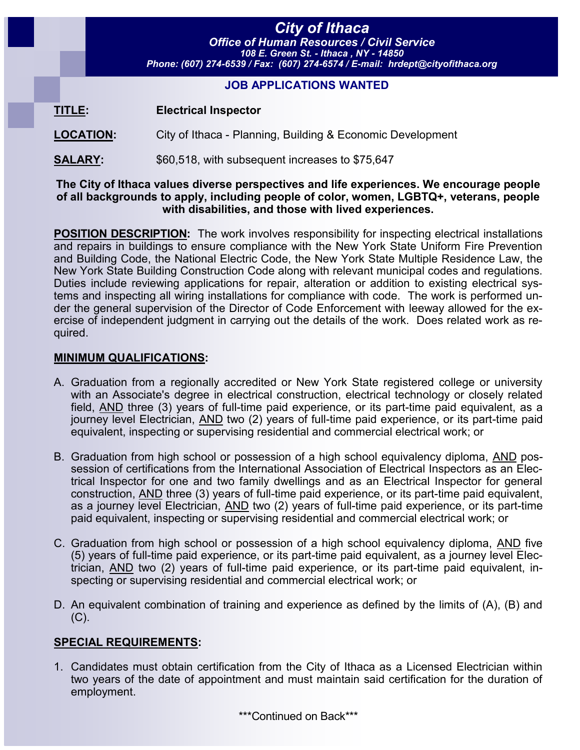# *City of Ithaca*

*Office of Human Resources / Civil Service 108 E. Green St. - Ithaca , NY - 14850 Phone: (607) 274-6539 / Fax: (607) 274-6574 / E-mail: hrdept@cityofithaca.org*

## **JOB APPLICATIONS WANTED**

**TITLE: Electrical Inspector**

**LOCATION:** City of Ithaca - Planning, Building & Economic Development

**SALARY:**  $$60,518$ , with subsequent increases to \$75,647

#### **The City of Ithaca values diverse perspectives and life experiences. We encourage people of all backgrounds to apply, including people of color, women, LGBTQ+, veterans, people with disabilities, and those with lived experiences.**

**POSITION DESCRIPTION:** The work involves responsibility for inspecting electrical installations and repairs in buildings to ensure compliance with the New York State Uniform Fire Prevention and Building Code, the National Electric Code, the New York State Multiple Residence Law, the New York State Building Construction Code along with relevant municipal codes and regulations. Duties include reviewing applications for repair, alteration or addition to existing electrical systems and inspecting all wiring installations for compliance with code. The work is performed under the general supervision of the Director of Code Enforcement with leeway allowed for the exercise of independent judgment in carrying out the details of the work. Does related work as required.

## **MINIMUM QUALIFICATIONS:**

- A. Graduation from a regionally accredited or New York State registered college or university with an Associate's degree in electrical construction, electrical technology or closely related field, AND three (3) years of full-time paid experience, or its part-time paid equivalent, as a journey level Electrician, AND two (2) years of full-time paid experience, or its part-time paid equivalent, inspecting or supervising residential and commercial electrical work; or
- B. Graduation from high school or possession of a high school equivalency diploma, AND possession of certifications from the International Association of Electrical Inspectors as an Electrical Inspector for one and two family dwellings and as an Electrical Inspector for general construction, AND three (3) years of full-time paid experience, or its part-time paid equivalent, as a journey level Electrician, AND two (2) years of full-time paid experience, or its part-time paid equivalent, inspecting or supervising residential and commercial electrical work; or
- C. Graduation from high school or possession of a high school equivalency diploma, AND five (5) years of full-time paid experience, or its part-time paid equivalent, as a journey level Electrician, AND two (2) years of full-time paid experience, or its part-time paid equivalent, inspecting or supervising residential and commercial electrical work; or
- D. An equivalent combination of training and experience as defined by the limits of (A), (B) and  $(C).$

# **SPECIAL REQUIREMENTS:**

1. Candidates must obtain certification from the City of Ithaca as a Licensed Electrician within two years of the date of appointment and must maintain said certification for the duration of employment.

\*\*\*Continued on Back\*\*\*